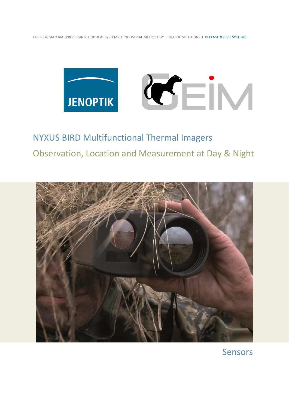LASERS & MATERIAL PROCESSING I OPTICAL SYSTEMS I INDUSTRIAL METROLOGY I TRAFFIC SOLUTIONS I DEFENSE & CIVIL SYSTEMS



NYXUS BIRD Multifunctional Thermal Imagers Observation, Location and Measurement at Day & Night



Sensors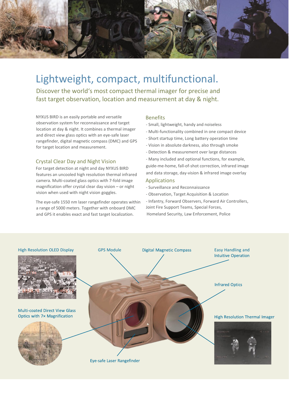

# Lightweight, compact, multifunctional.

Discover the world's most compact thermal imager for precise and fast target observation, location and measurement at day & night.

NYXUS BIRD is an easily portable and versatile observation system for reconnaissance and target location at day & night. It combines a thermal imager and direct view glass optics with an eye-safe laser rangefinder, digital magnetic compass (DMC) and GPS for target location and measurement.

## Crystal Clear Day and Night Vision

For target detection at night and day NYXUS BIRD features an uncooled high resolution thermal infrared camera. Multi-coated glass optics with 7-fold image magnification offer crystal clear day vision – or night vision when used with night vision goggles.

The eye-safe 1550 nm laser rangefinder operates within a range of 5000 meters. Together with onboard DMC and GPS it enables exact and fast target localization.

#### Benefits

- Small, lightweight, handy and noiseless
- Multi-functionality combined in one compact device
- Short startup time, Long battery operation time
- Vision in absolute darkness, also through smoke
- Detection & measurement over large distances
- Many included and optional functions, for example, guide-me-home, fall-of-shot correction, infrared image and data storage, day-vision & infrared image overlay

### Applications

- Surveillance and Reconnaissance
- Observation, Target Acquisition & Location
- Infantry, Forward Observers, Forward Air Controllers, Joint Fire Support Teams, Special Forces, Homeland Security, Law Enforcement, Police